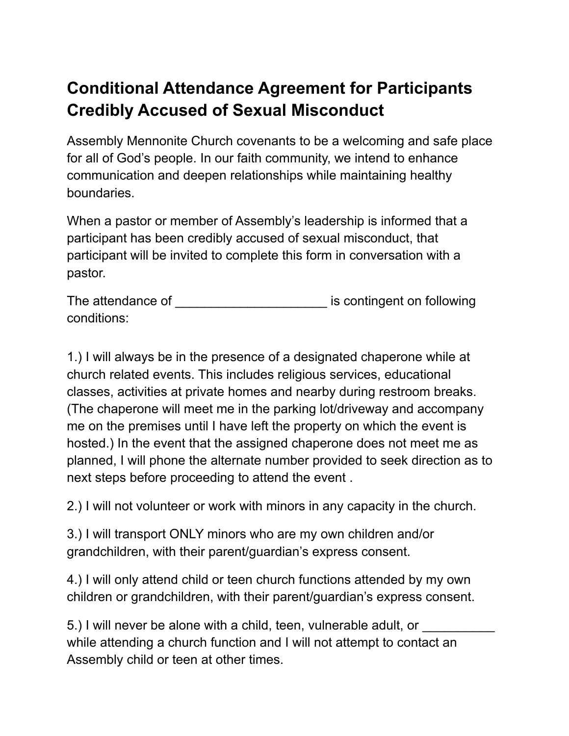## **Conditional Attendance Agreement for Participants Credibly Accused of Sexual Misconduct**

Assembly Mennonite Church covenants to be a welcoming and safe place for all of God's people. In our faith community, we intend to enhance communication and deepen relationships while maintaining healthy boundaries.

When a pastor or member of Assembly's leadership is informed that a participant has been credibly accused of sexual misconduct, that participant will be invited to complete this form in conversation with a pastor.

The attendance of **The attendance** of **EXECUTE:** is contingent on following conditions:

1.) I will always be in the presence of a designated chaperone while at church related events. This includes religious services, educational classes, activities at private homes and nearby during restroom breaks. (The chaperone will meet me in the parking lot/driveway and accompany me on the premises until I have left the property on which the event is hosted.) In the event that the assigned chaperone does not meet me as planned, I will phone the alternate number provided to seek direction as to next steps before proceeding to attend the event .

2.) I will not volunteer or work with minors in any capacity in the church.

3.) I will transport ONLY minors who are my own children and/or grandchildren, with their parent/guardian's express consent.

4.) I will only attend child or teen church functions attended by my own children or grandchildren, with their parent/guardian's express consent.

5.) I will never be alone with a child, teen, vulnerable adult, or while attending a church function and I will not attempt to contact an Assembly child or teen at other times.